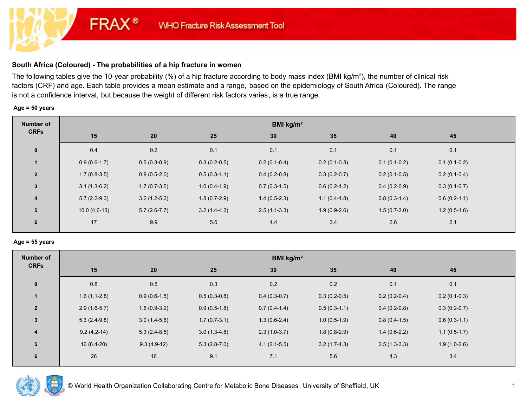# **South Africa (Coloured) - The probabilities of a hip fracture in women**

**FRAX®** 

The following tables give the 10-year probability (%) of a hip fracture according to body mass index (BMI kg/m²), the number of clinical risk factors (CRF) and age. Each table provides a mean estimate and a range, based on the epidemiology of South Africa (Coloured). The range is not a confidence interval, but because the weight of different risk factors varies, is a true range.

#### **Age = 50 years**

| <b>Number of</b> | <b>BMI</b> kg/m <sup>2</sup> |                |                |                |                |                |                |  |  |  |
|------------------|------------------------------|----------------|----------------|----------------|----------------|----------------|----------------|--|--|--|
| <b>CRFs</b>      | 15                           | 20             | 25             | 30             | 35             | 40             | 45             |  |  |  |
| $\pmb{0}$        | 0.4                          | 0.2            | 0.1            | 0.1            | 0.1            | 0.1            | 0.1            |  |  |  |
|                  | $0.9(0.6-1.7)$               | $0.5(0.3-0.9)$ | $0.3(0.2-0.5)$ | $0.2(0.1-0.4)$ | $0.2(0.1-0.3)$ | $0.1(0.1-0.2)$ | $0.1(0.1-0.2)$ |  |  |  |
| $\overline{2}$   | $1.7(0.8-3.5)$               | $0.9(0.5-2.0)$ | $0.5(0.3-1.1)$ | $0.4(0.2-0.8)$ | $0.3(0.2-0.7)$ | $0.2(0.1-0.5)$ | $0.2(0.1-0.4)$ |  |  |  |
| 3                | $3.1(1.3-6.2)$               | $1.7(0.7-3.5)$ | $1.0(0.4-1.9)$ | $0.7(0.3-1.5)$ | $0.6(0.2-1.2)$ | $0.4(0.2-0.9)$ | $0.3(0.1-0.7)$ |  |  |  |
| 4                | $5.7(2.2-9.3)$               | $3.2(1.2-5.2)$ | $1.8(0.7-2.9)$ | $1.4(0.5-2.3)$ | $1.1(0.4-1.8)$ | $0.8(0.3-1.4)$ | $0.6(0.2-1.1)$ |  |  |  |
| 5                | $10.0(4.6-13)$               | $5.7(2.6-7.7)$ | $3.2(1.4-4.3)$ | $2.5(1.1-3.3)$ | $1.9(0.9-2.6)$ | $1.5(0.7-2.0)$ | $1.2(0.5-1.6)$ |  |  |  |
| 6                | 17                           | 9.9            | 5.6            | 4.4            | 3.4            | 2.6            | 2.1            |  |  |  |

#### **Age = 55 years**

| 45<br>40                         |
|----------------------------------|
| 0.1<br>0.1                       |
| $0.2(0.2-0.4)$<br>$0.2(0.1-0.3)$ |
| $0.4(0.2-0.8)$<br>$0.3(0.2-0.7)$ |
| $0.8(0.4-1.5)$<br>$0.6(0.3-1.1)$ |
| $1.4(0.6-2.2)$<br>$1.1(0.5-1.7)$ |
| $2.5(1.3-3.3)$<br>$1.9(1.0-2.6)$ |
| 4.3<br>3.4                       |
|                                  |

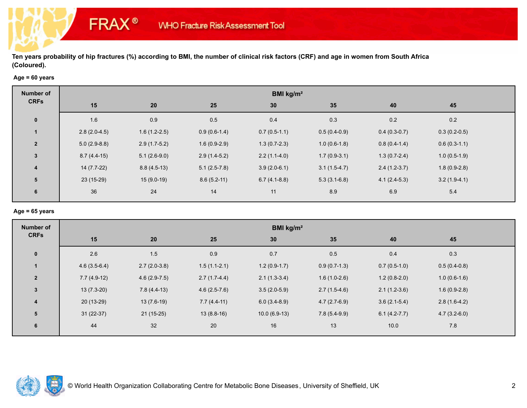# **Age = 60 years**

**FRAX®** 

| Number of               | BMI kg/m <sup>2</sup> |                |                |                |                |                |                |  |  |  |
|-------------------------|-----------------------|----------------|----------------|----------------|----------------|----------------|----------------|--|--|--|
| <b>CRFs</b>             | 15                    | 20             | 25             | 30             | 35             | 40             | 45             |  |  |  |
| $\mathbf 0$             | 1.6                   | 0.9            | 0.5            | 0.4            | 0.3            | 0.2            | $0.2\,$        |  |  |  |
|                         | $2.8(2.0-4.5)$        | $1.6(1.2-2.5)$ | $0.9(0.6-1.4)$ | $0.7(0.5-1.1)$ | $0.5(0.4-0.9)$ | $0.4(0.3-0.7)$ | $0.3(0.2-0.5)$ |  |  |  |
| $\overline{2}$          | $5.0(2.9-8.8)$        | $2.9(1.7-5.2)$ | $1.6(0.9-2.9)$ | $1.3(0.7-2.3)$ | $1.0(0.6-1.8)$ | $0.8(0.4-1.4)$ | $0.6(0.3-1.1)$ |  |  |  |
| $\mathbf{3}$            | $8.7(4.4-15)$         | $5.1(2.6-9.0)$ | $2.9(1.4-5.2)$ | $2.2(1.1-4.0)$ | $1.7(0.9-3.1)$ | $1.3(0.7-2.4)$ | $1.0(0.5-1.9)$ |  |  |  |
| $\overline{\mathbf{4}}$ | $14(7.7-22)$          | $8.8(4.5-13)$  | $5.1(2.5-7.8)$ | $3.9(2.0-6.1)$ | $3.1(1.5-4.7)$ | $2.4(1.2-3.7)$ | $1.8(0.9-2.8)$ |  |  |  |
| 5                       | $23(15-29)$           | $15(9.0-19)$   | $8.6(5.2-11)$  | $6.7(4.1-8.8)$ | $5.3(3.1-6.8)$ | $4.1(2.4-5.3)$ | $3.2(1.9-4.1)$ |  |  |  |
| 6                       | 36                    | 24             | 14             | 11             | 8.9            | 6.9            | 5.4            |  |  |  |

#### **Age = 65 years**

| <b>Number of</b>        | BMI kg/m <sup>2</sup> |                |                |                |                |                |                |  |  |  |
|-------------------------|-----------------------|----------------|----------------|----------------|----------------|----------------|----------------|--|--|--|
| <b>CRFs</b>             | 15                    | 20             | 25             | 30             | 35             | 40             | 45             |  |  |  |
| $\mathbf 0$             | 2.6                   | 1.5            | 0.9            | 0.7            | 0.5            | 0.4            | 0.3            |  |  |  |
| $\mathbf{1}$            | $4.6(3.5-6.4)$        | $2.7(2.0-3.8)$ | $1.5(1.1-2.1)$ | $1.2(0.9-1.7)$ | $0.9(0.7-1.3)$ | $0.7(0.5-1.0)$ | $0.5(0.4-0.8)$ |  |  |  |
| $\overline{2}$          | $7.7(4.9-12)$         | $4.6(2.9-7.5)$ | $2.7(1.7-4.4)$ | $2.1(1.3-3.4)$ | $1.6(1.0-2.6)$ | $1.2(0.8-2.0)$ | $1.0(0.6-1.6)$ |  |  |  |
| $\mathbf{3}$            | $13(7.3-20)$          | $7.8(4.4-13)$  | $4.6(2.5-7.6)$ | $3.5(2.0-5.9)$ | $2.7(1.5-4.6)$ | $2.1(1.2-3.6)$ | $1.6(0.9-2.8)$ |  |  |  |
| $\overline{\mathbf{4}}$ | $20(13-29)$           | $13(7.6-19)$   | $7.7(4.4-11)$  | $6.0(3.4-8.9)$ | $4.7(2.7-6.9)$ | $3.6(2.1-5.4)$ | $2.8(1.6-4.2)$ |  |  |  |
| 5                       | $31(22-37)$           | $21(15-25)$    | $13(8.8-16)$   | $10.0(6.9-13)$ | $7.8(5.4-9.9)$ | $6.1(4.2-7.7)$ | $4.7(3.2-6.0)$ |  |  |  |
| 6                       | 44                    | 32             | 20             | 16             | 13             | 10.0           | 7.8            |  |  |  |

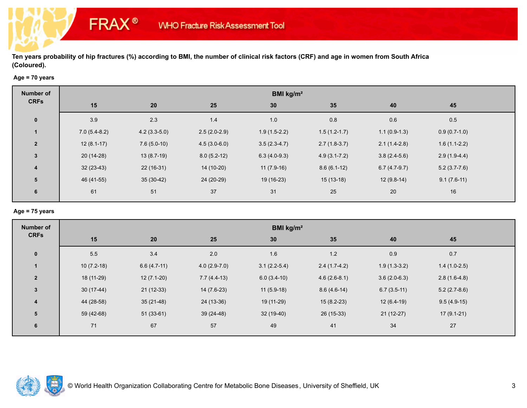# **Age = 70 years**

**FRAX®** 

| Number of               | BMI kg/m <sup>2</sup> |                |                |                 |                  |                |                |  |  |  |
|-------------------------|-----------------------|----------------|----------------|-----------------|------------------|----------------|----------------|--|--|--|
| <b>CRFs</b>             | 15                    | 20             | 25             | 30 <sub>o</sub> | 35               | 40             | 45             |  |  |  |
| $\mathbf 0$             | 3.9                   | 2.3            | 1.4            | 1.0             | $0.8\,$          | 0.6            | 0.5            |  |  |  |
|                         | $7.0(5.4-8.2)$        | $4.2(3.3-5.0)$ | $2.5(2.0-2.9)$ | $1.9(1.5-2.2)$  | $1.5(1.2-1.7)$   | $1.1(0.9-1.3)$ | $0.9(0.7-1.0)$ |  |  |  |
| $\overline{2}$          | $12(8.1-17)$          | $7.6(5.0-10)$  | $4.5(3.0-6.0)$ | $3.5(2.3-4.7)$  | $2.7(1.8-3.7)$   | $2.1(1.4-2.8)$ | $1.6(1.1-2.2)$ |  |  |  |
| $\mathbf{3}$            | $20(14-28)$           | $13(8.7-19)$   | $8.0(5.2-12)$  | $6.3(4.0-9.3)$  | $4.9(3.1 - 7.2)$ | $3.8(2.4-5.6)$ | $2.9(1.9-4.4)$ |  |  |  |
| $\overline{\mathbf{4}}$ | $32(23-43)$           | $22(16-31)$    | 14 (10-20)     | $11(7.9-16)$    | $8.6(6.1-12)$    | $6.7(4.7-9.7)$ | $5.2(3.7-7.6)$ |  |  |  |
| 5                       | 46 (41-55)            | $35(30-42)$    | 24 (20-29)     | 19 (16-23)      | $15(13-18)$      | $12(9.8-14)$   | $9.1(7.6-11)$  |  |  |  |
| 6                       | 61                    | 51             | 37             | 31              | 25               | 20             | $16\,$         |  |  |  |

#### **Age = 75 years**

| <b>Number of</b> | BMI kg/m <sup>2</sup> |               |                |                 |                |                |                |  |  |  |
|------------------|-----------------------|---------------|----------------|-----------------|----------------|----------------|----------------|--|--|--|
| <b>CRFs</b>      | 15                    | 20            | 25             | 30 <sub>2</sub> | 35             | 40             | 45             |  |  |  |
| $\mathbf 0$      | 5.5                   | 3.4           | 2.0            | 1.6             | 1.2            | 0.9            | 0.7            |  |  |  |
|                  | $10(7.2-18)$          | $6.6(4.7-11)$ | $4.0(2.9-7.0)$ | $3.1(2.2-5.4)$  | $2.4(1.7-4.2)$ | $1.9(1.3-3.2)$ | $1.4(1.0-2.5)$ |  |  |  |
| $\overline{2}$   | 18 (11-29)            | $12(7.1-20)$  | $7.7(4.4-13)$  | $6.0(3.4-10)$   | $4.6(2.6-8.1)$ | $3.6(2.0-6.3)$ | $2.8(1.6-4.8)$ |  |  |  |
| $\mathbf{3}$     | $30(17-44)$           | $21(12-33)$   | $14(7.6-23)$   | $11(5.9-18)$    | $8.6(4.6-14)$  | $6.7(3.5-11)$  | $5.2(2.7-8.6)$ |  |  |  |
| $\overline{4}$   | 44 (28-58)            | $35(21-48)$   | 24 (13-36)     | 19 (11-29)      | $15(8.2-23)$   | $12(6.4-19)$   | $9.5(4.9-15)$  |  |  |  |
| 5                | 59 (42-68)            | $51(33-61)$   | $39(24-48)$    | 32 (19-40)      | $26(15-33)$    | $21(12-27)$    | $17(9.1-21)$   |  |  |  |
| 6                | 71                    | 67            | 57             | 49              | 41             | 34             | 27             |  |  |  |

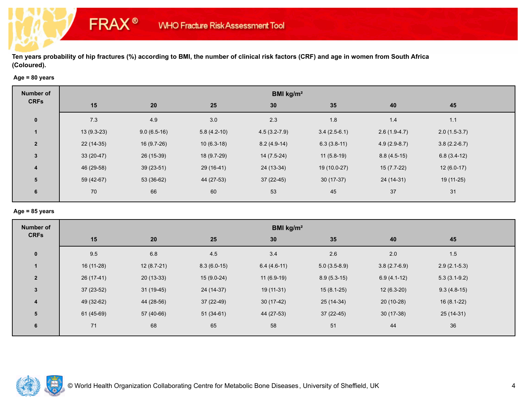# **Age = 80 years**

**FRAX®** 

| <b>Number of</b>        | BMI kg/m <sup>2</sup> |               |               |                  |                |                |                |  |  |  |
|-------------------------|-----------------------|---------------|---------------|------------------|----------------|----------------|----------------|--|--|--|
| <b>CRFs</b>             | 15                    | 20            | 25            | 30               | 35             | 40             | 45             |  |  |  |
| $\mathbf 0$             | 7.3                   | 4.9           | 3.0           | 2.3              | 1.8            | 1.4            | 1.1            |  |  |  |
|                         | $13(9.3-23)$          | $9.0(6.5-16)$ | $5.8(4.2-10)$ | $4.5(3.2 - 7.9)$ | $3.4(2.5-6.1)$ | $2.6(1.9-4.7)$ | $2.0(1.5-3.7)$ |  |  |  |
| $\overline{2}$          | $22(14-35)$           | $16(9.7-26)$  | $10(6.3-18)$  | $8.2(4.9-14)$    | $6.3(3.8-11)$  | $4.9(2.9-8.7)$ | $3.8(2.2-6.7)$ |  |  |  |
| 3                       | $33(20-47)$           | 26 (15-39)    | 18 (9.7-29)   | $14(7.5-24)$     | $11(5.8-19)$   | $8.8(4.5-15)$  | $6.8(3.4-12)$  |  |  |  |
| $\overline{\mathbf{4}}$ | 46 (29-58)            | $39(23-51)$   | $29(16-41)$   | 24 (13-34)       | 19 (10.0-27)   | $15(7.7-22)$   | $12(6.0-17)$   |  |  |  |
| 5                       | 59 (42-67)            | 53 (36-62)    | 44 (27-53)    | $37(22-45)$      | $30(17-37)$    | 24 (14-31)     | 19 (11-25)     |  |  |  |
| 6                       | 70                    | 66            | 60            | 53               | 45             | 37             | 31             |  |  |  |

#### **Age = 85 years**

| <b>Number of</b> | BMI kg/m <sup>2</sup> |              |               |                 |                |                |                |  |  |  |
|------------------|-----------------------|--------------|---------------|-----------------|----------------|----------------|----------------|--|--|--|
| <b>CRFs</b>      | 15                    | 20           | 25            | 30 <sub>2</sub> | 35             | 40             | 45             |  |  |  |
| $\mathbf 0$      | 9.5                   | 6.8          | 4.5           | 3.4             | 2.6            | 2.0            | 1.5            |  |  |  |
|                  | 16 (11-28)            | $12(8.7-21)$ | $8.3(6.0-15)$ | $6.4(4.6-11)$   | $5.0(3.5-8.9)$ | $3.8(2.7-6.9)$ | $2.9(2.1-5.3)$ |  |  |  |
| $\overline{2}$   | 26 (17-41)            | $20(13-33)$  | $15(9.0-24)$  | $11(6.9-19)$    | $8.9(5.3-15)$  | $6.9(4.1-12)$  | $5.3(3.1-9.2)$ |  |  |  |
| $\mathbf{3}$     | $37(23-52)$           | $31(19-45)$  | 24 (14-37)    | $19(11-31)$     | $15(8.1-25)$   | $12(6.3-20)$   | $9.3(4.8-15)$  |  |  |  |
| $\overline{4}$   | 49 (32-62)            | 44 (28-56)   | 37 (22-49)    | $30(17-42)$     | $25(14-34)$    | $20(10-28)$    | $16(8.1-22)$   |  |  |  |
| 5                | 61 (45-69)            | 57 (40-66)   | $51(34-61)$   | 44 (27-53)      | $37(22-45)$    | $30(17-38)$    | 25 (14-31)     |  |  |  |
| 6                | 71                    | 68           | 65            | 58              | 51             | 44             | 36             |  |  |  |